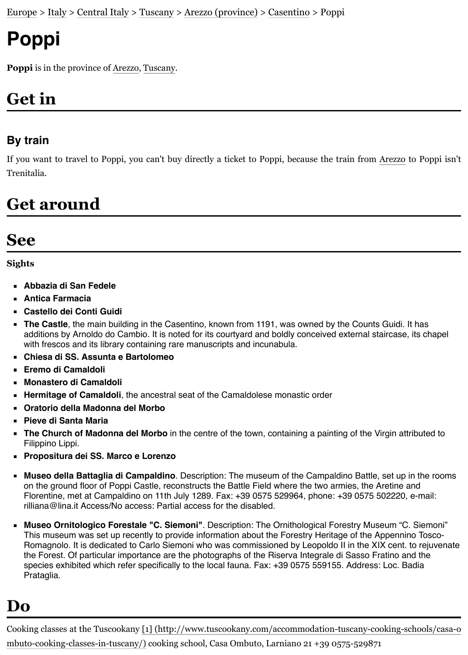# **Poppi**

**Poppi** is in the province of [Arezzo](https://en.wikivoyage.org/wiki/Arezzo_(province)), [Tuscany](https://en.wikivoyage.org/wiki/Tuscany).

## **Get in**

#### **By train**

If you want to travel to Poppi, you can't buy directly a ticket to Poppi, because the train from [Arezzo](https://en.wikivoyage.org/wiki/Arezzo) to Poppi isn't Trenitalia.

### **Get around**

### **See**

#### **Sights**

- **Abbazia di San Fedele**
- **Antica Farmacia**
- **Castello dei Conti Guidi**
- **The Castle**, the main building in the Casentino, known from 1191, was owned by the Counts Guidi. It has additions by Arnoldo do Cambio. It is noted for its courtyard and boldly conceived external staircase, its chapel with frescos and its library containing rare manuscripts and incunabula.
- **Chiesa di SS. Assunta e Bartolomeo**
- **Eremo di Camaldoli**
- **Monastero di Camaldoli**
- **Hermitage of Camaldoli**, the ancestral seat of the Camaldolese monastic order
- **Oratorio della Madonna del Morbo**
- **Pieve di Santa Maria**
- **The Church of Madonna del Morbo** in the centre of the town, containing a painting of the Virgin attributed to Filippino Lippi.
- **Propositura dei SS. Marco e Lorenzo**
- **Museo della Battaglia di Campaldino**. Description: The museum of the Campaldino Battle, set up in the rooms on the ground floor of Poppi Castle, reconstructs the Battle Field where the two armies, the Aretine and Florentine, met at Campaldino on 11th July 1289. Fax: +39 0575 529964, phone: +39 0575 502220, e-mail: rilliana@lina.it Access/No access: Partial access for the disabled.
- **Museo Ornitologico Forestale "C. Siemoni"**. Description: The Ornithological Forestry Museum "C. Siemoni" This museum was set up recently to provide information about the Forestry Heritage of the Appennino Tosco-Romagnolo. It is dedicated to Carlo Siemoni who was commissioned by Leopoldo II in the XIX cent. to rejuvenate the Forest. Of particular importance are the photographs of the Riserva Integrale di Sasso Fratino and the species exhibited which refer specifically to the local fauna. Fax: +39 0575 559155. Address: Loc. Badia Prataglia.

#### **Do**

[Cooking classes at the Tuscookany \[1\] \(http://www.tuscookany.com/accommodation-tuscany-cooking-schools/casa-o](http://www.tuscookany.com/accommodation-tuscany-cooking-schools/casa-ombuto-cooking-classes-in-tuscany/) mbuto-cooking-classes-in-tuscany/) cooking school, Casa Ombuto, Larniano 21 +39 0575-529871